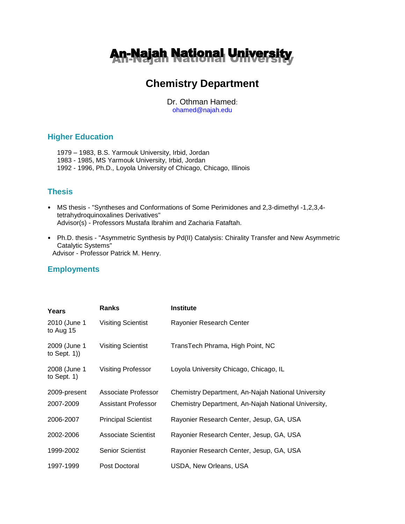

# **Chemistry Department**

Dr. Othman Hamed: ohamed@najah.edu

## **Higher Education**

1979 – 1983, B.S. Yarmouk University, Irbid, Jordan 1983 - 1985, MS Yarmouk University, Irbid, Jordan 1992 - 1996, Ph.D*.,* Loyola University of Chicago, Chicago, Illinois

# **Thesis**

- MS thesis "Syntheses and Conformations of Some Perimidones and 2,3-dimethyl -1,2,3,4 tetrahydroquinoxalines Derivatives" Advisor(s) - Professors Mustafa Ibrahim and Zacharia Fataftah.
- Ph.D. thesis "Asymmetric Synthesis by Pd(II) Catalysis: Chirality Transfer and New Asymmetric Catalytic Systems" Advisor - Professor Patrick M. Henry.

# **Employments**

| Years                           | <b>Ranks</b>               | <b>Institute</b>                                    |
|---------------------------------|----------------------------|-----------------------------------------------------|
| 2010 (June 1<br>to Aug 15       | <b>Visiting Scientist</b>  | Rayonier Research Center                            |
| 2009 (June 1<br>to Sept. $1)$ ) | <b>Visiting Scientist</b>  | TransTech Phrama, High Point, NC                    |
| 2008 (June 1<br>to Sept. $1)$   | <b>Visiting Professor</b>  | Loyola University Chicago, Chicago, IL              |
| 2009-present                    | Associate Professor        | Chemistry Department, An-Najah National University  |
| 2007-2009                       | <b>Assistant Professor</b> | Chemistry Department, An-Najah National University, |
| 2006-2007                       | <b>Principal Scientist</b> | Rayonier Research Center, Jesup, GA, USA            |
| 2002-2006                       | <b>Associate Scientist</b> | Rayonier Research Center, Jesup, GA, USA            |
| 1999-2002                       | <b>Senior Scientist</b>    | Rayonier Research Center, Jesup, GA, USA            |
| 1997-1999                       | Post Doctoral              | USDA, New Orleans, USA                              |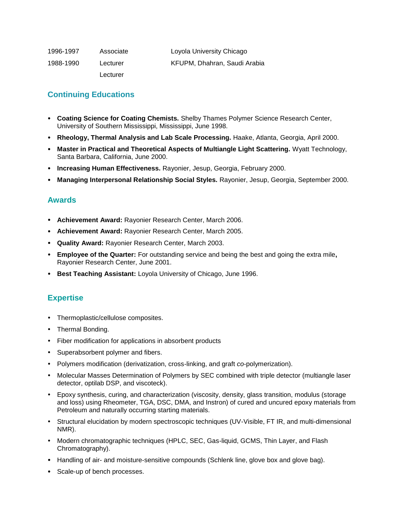| 1996-1997 | Associate | Loyola University Chicago    |
|-----------|-----------|------------------------------|
| 1988-1990 | Lecturer  | KFUPM. Dhahran. Saudi Arabia |
|           | Lecturer  |                              |

# **Continuing Educations**

- **Coating Science for Coating Chemists.** Shelby Thames Polymer Science Research Center, University of Southern Mississippi, Mississippi, June 1998.
- **Rheology, Thermal Analysis and Lab Scale Processing.** Haake, Atlanta, Georgia, April 2000.
- **Master in Practical and Theoretical Aspects of Multiangle Light Scattering.** Wyatt Technology, Santa Barbara, California, June 2000.
- **Increasing Human Effectiveness.** Rayonier, Jesup, Georgia, February 2000.
- **Managing Interpersonal Relationship Social Styles.** Rayonier, Jesup, Georgia, September 2000.

### **Awards**

- **Achievement Award:** Rayonier Research Center, March 2006.
- **Achievement Award:** Rayonier Research Center, March 2005.
- **Quality Award:** Rayonier Research Center, March 2003.
- **Employee of the Quarter:** For outstanding service and being the best and going the extra mile**,**  Rayonier Research Center, June 2001.
- **Best Teaching Assistant:** Loyola University of Chicago, June 1996.

### **Expertise**

- Thermoplastic/cellulose composites.
- Thermal Bonding.
- Fiber modification for applications in absorbent products
- Superabsorbent polymer and fibers.
- Polymers modification (derivatization, cross-linking, and graft *co*-polymerization).
- Molecular Masses Determination of Polymers by SEC combined with triple detector (multiangle laser detector, optilab DSP, and viscoteck).
- Epoxy synthesis, curing, and characterization (viscosity, density, glass transition, modulus (storage and loss) using Rheometer, TGA, DSC, DMA, and Instron) of cured and uncured epoxy materials from Petroleum and naturally occurring starting materials.
- Structural elucidation by modern spectroscopic techniques (UV-Visible, FT IR, and multi-dimensional NMR).
- Modern chromatographic techniques (HPLC, SEC, Gas-liquid, GCMS, Thin Layer, and Flash Chromatography).
- Handling of air- and moisture-sensitive compounds (Schlenk line, glove box and glove bag).
- Scale-up of bench processes.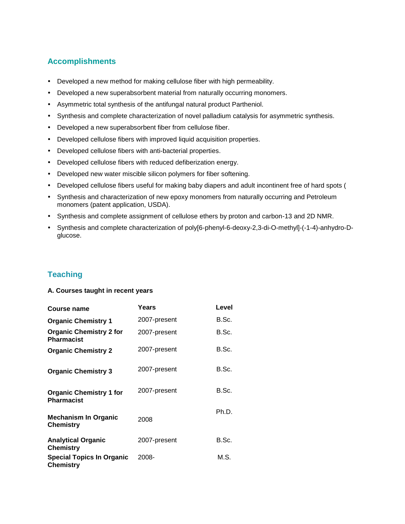# **Accomplishments**

- Developed a new method for making cellulose fiber with high permeability.
- Developed a new superabsorbent material from naturally occurring monomers.
- Asymmetric total synthesis of the antifungal natural product Partheniol.
- Synthesis and complete characterization of novel palladium catalysis for asymmetric synthesis.
- Developed a new superabsorbent fiber from cellulose fiber.
- Developed cellulose fibers with improved liquid acquisition properties.
- Developed cellulose fibers with anti-bacterial properties.
- Developed cellulose fibers with reduced defiberization energy.
- Developed new water miscible silicon polymers for fiber softening.
- Developed cellulose fibers useful for making baby diapers and adult incontinent free of hard spots (
- Synthesis and characterization of new epoxy monomers from naturally occurring and Petroleum monomers (patent application, USDA).
- Synthesis and complete assignment of cellulose ethers by proton and carbon-13 and 2D NMR.
- Synthesis and complete characterization of poly[6-phenyl-6-deoxy-2,3-di-O-methyl]-(-1-4)-anhydro-Dglucose.

# **Teaching**

#### **A. Courses taught in recent years**

| Course name                                          | Years        | Level |
|------------------------------------------------------|--------------|-------|
| <b>Organic Chemistry 1</b>                           | 2007-present | B.Sc. |
| <b>Organic Chemistry 2 for</b><br><b>Pharmacist</b>  | 2007-present | B.Sc. |
| <b>Organic Chemistry 2</b>                           | 2007-present | B.Sc. |
| <b>Organic Chemistry 3</b>                           | 2007-present | B.Sc. |
| <b>Organic Chemistry 1 for</b><br><b>Pharmacist</b>  | 2007-present | B.Sc. |
| <b>Mechanism In Organic</b><br><b>Chemistry</b>      | 2008         | Ph.D. |
| <b>Analytical Organic</b><br><b>Chemistry</b>        | 2007-present | B.Sc. |
| <b>Special Topics In Organic</b><br><b>Chemistry</b> | 2008-        | M.S.  |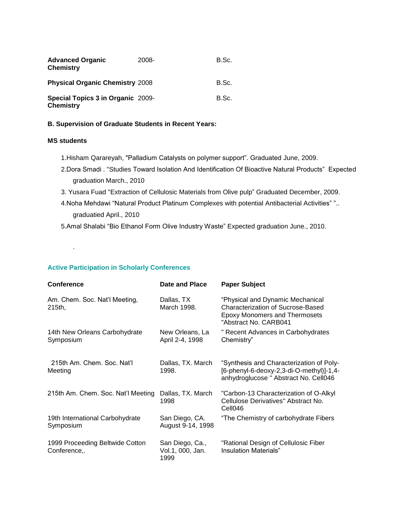| <b>Advanced Organic</b><br><b>Chemistry</b>           | 2008- | B.Sc. |
|-------------------------------------------------------|-------|-------|
| <b>Physical Organic Chemistry 2008</b>                |       | B.Sc. |
| Special Topics 3 in Organic 2009-<br><b>Chemistry</b> |       | B.Sc. |

#### **B. Supervision of Graduate Students in Recent Years:**

### **MS students**

.

- 1.Hisham Qarareyah, "Palladium Catalysts on polymer support". Graduated June, 2009.
- 2.Dora Smadi . "Studies Toward Isolation And Identification Of Bioactive Natural Products" Expected graduation March., 2010
- 3. Yusara Fuad "Extraction of Cellulosic Materials from Olive pulp" Graduated December, 2009.
- 4.Noha Mehdawi "Natural Product Platinum Complexes with potential Antibacterial Activities" ".. graduatied April., 2010
- 5.Amal Shalabi "Bio Ethanol Form Olive Industry Waste" Expected graduation June., 2010.

### **Active Participation in Scholarly Conferences**

| <b>Conference</b>                               | Date and Place                              | <b>Paper Subject</b>                                                                                                                          |
|-------------------------------------------------|---------------------------------------------|-----------------------------------------------------------------------------------------------------------------------------------------------|
| Am. Chem. Soc. Nat'l Meeting,<br>215th,         | Dallas, TX<br>March 1998.                   | "Physical and Dynamic Mechanical<br><b>Characterization of Sucrose-Based</b><br><b>Epoxy Monomers and Thermosets</b><br>"Abstract No. CARB041 |
| 14th New Orleans Carbohydrate<br>Symposium      | New Orleans, La<br>April 2-4, 1998          | " Recent Advances in Carbohydrates<br>Chemistry"                                                                                              |
| 215th Am. Chem. Soc. Nat'l<br>Meeting           | Dallas, TX. March<br>1998.                  | "Synthesis and Characterization of Poly-<br>[6-phenyl-6-deoxy-2,3-di-O-methyl)]-1,4-<br>anhydroglucose " Abstract No. Cell046                 |
| 215th Am. Chem. Soc. Nat'l Meeting              | Dallas, TX. March<br>1998                   | "Carbon-13 Characterization of O-Alkyl<br>Cellulose Derivatives" Abstract No.<br>Cell046                                                      |
| 19th International Carbohydrate<br>Symposium    | San Diego, CA.<br>August 9-14, 1998         | "The Chemistry of carbohydrate Fibers                                                                                                         |
| 1999 Proceeding Beltwide Cotton<br>Conference,. | San Diego, Ca.,<br>Vol.1, 000, Jan.<br>1999 | "Rational Design of Cellulosic Fiber<br>Insulation Materials"                                                                                 |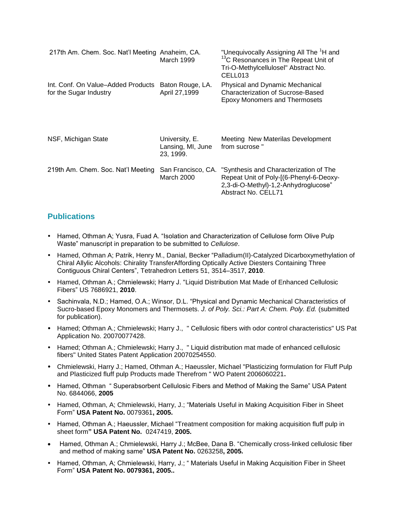| 217th Am. Chem. Soc. Nat'l Meeting Anaheim, CA.              | March 1999                                       | "Unequivocally Assigning All The <sup>1</sup> H and<br><sup>13</sup> C Resonances in The Repeat Unit of<br>Tri-O-Methylcellulosel" Abstract No.<br>CELL013          |
|--------------------------------------------------------------|--------------------------------------------------|---------------------------------------------------------------------------------------------------------------------------------------------------------------------|
| Int. Conf. On Value-Added Products<br>for the Sugar Industry | Baton Rouge, LA.<br>April 27,1999                | Physical and Dynamic Mechanical<br>Characterization of Sucrose-Based<br><b>Epoxy Monomers and Thermosets</b>                                                        |
| NSF, Michigan State                                          | University, E.<br>Lansing, MI, June<br>23, 1999. | Meeting New Materilas Development<br>from sucrose"                                                                                                                  |
| 219th Am. Chem. Soc. Nat'l Meeting                           | March 2000                                       | San Francisco, CA. "Synthesis and Characterization of The<br>Repeat Unit of Poly-[(6-Phenyl-6-Deoxy-<br>2,3-di-O-Methyl)-1,2-Anhydroglucose"<br>Abstract No. CELL71 |

### **Publications**

- Hamed, Othman A; Yusra, Fuad A. "Isolation and Characterization of Cellulose form Olive Pulp Waste" manuscript in preparation to be submitted to *Cellulose*.
- Hamed, Othman A; Patrik, Henry M., Danial, Becker "Palladium(II)-Catalyzed Dicarboxymethylation of Chiral Allylic Alcohols: Chirality TransferAffording Optically Active Diesters Containing Three Contiguous Chiral Centers", Tetrahedron Letters 51, 3514–3517, **2010**.
- Hamed, Othman A.; Chmielewski; Harry J. "Liquid Distribution Mat Made of Enhanced Cellulosic Fibers" US 7686921, **2010**.
- Sachinvala, N.D.; Hamed, O.A.; Winsor, D.L. "Physical and Dynamic Mechanical Characteristics of Sucro-based Epoxy Monomers and Thermosets. *J. of Poly. Sci.: Part A: Chem. Poly. Ed.* (submitted for publication).
- Hamed; Othman A.; Chmielewski; Harry J., " Cellulosic fibers with odor control characteristics" US Pat Application No. 20070077428.
- Hamed; Othman A.; Chmielewski; Harry J., " Liquid distribution mat made of enhanced cellulosic fibers" United States Patent Application 20070254550.
- Chmielewski, Harry J.; Hamed, Othman A.; Haeussler, Michael "Plasticizing formulation for Fluff Pulp and Plasticized fluff pulp Products made Therefrom " WO Patent 2006060221**.**
- Hamed, Othman " Superabsorbent Cellulosic Fibers and Method of Making the Same" USA Patent No. 6844066, **2005**
- Hamed, Othman, A; Chmielewski, Harry, J.; "Materials Useful in Making Acquisition Fiber in Sheet Form" **USA Patent No.** 0079361**, 2005.**
- Hamed, Othman A.; Haeussler, Michael "Treatment composition for making acquisition fluff pulp in [sheet form](http://www.freepatentsonline.com/20050247419.html?highlight=hamed%20othman)**" USA Patent No.** 0247419, **2005.**
- Hamed, Othman A.; Chmielewski, Harry J.; McBee, Dana B. "Chemically cross-linked cellulosic fiber and method of making same" **USA Patent No.** 0263258**, 2005.**
- Hamed, Othman, A; Chmielewski, Harry, J.; " Materials Useful in Making Acquisition Fiber in Sheet Form" **USA Patent No. 0079361, 2005..**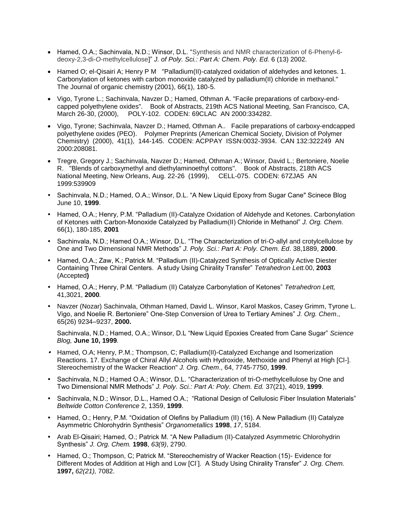- Hamed, O.A.; Sachinvala, N.D.; Winsor, D.L. "Synthesis and NMR characterization of 6-Phenyl-6deoxy-2,3-di-*O*-methylcellulose]" *J. of Poly. Sci.: Part A: Chem. Poly. Ed.* 6 (13) 2002.
- Hamed O; el-Qisairi A; Henry P M "Palladium(II)-catalyzed oxidation of aldehydes and ketones, 1. Carbonylation of ketones with carbon monoxide catalyzed by palladium(II) chloride in methanol." The Journal of organic chemistry (2001), 66(1), 180-5.
- Vigo, Tyrone L.; Sachinvala, Navzer D.; Hamed, Othman A. "Facile preparations of carboxy-endcapped polyethylene oxides". Book of Abstracts, 219th ACS National Meeting, San Francisco, CA, March 26-30, (2000), POLY-102. CODEN: 69CLAC AN 2000:334282.
- Vigo, Tyrone; Sachinvala, Navzer D.; Hamed, Othman A.. Facile preparations of carboxy-endcapped polyethylene oxides (PEO). Polymer Preprints (American Chemical Society, Division of Polymer Chemistry) (2000), 41(1), 144-145. CODEN: ACPPAY ISSN:0032-3934. CAN 132:322249 AN 2000:208081.
- Tregre, Gregory J.; Sachinvala, Navzer D.; Hamed, Othman A.; Winsor, David L.; Bertoniere, Noelie R. "Blends of carboxymethyl and diethylaminoethyl cottons". Book of Abstracts, 218th ACS National Meeting, New Orleans, Aug. 22-26 (1999), CELL-075. CODEN: 67ZJA5 AN 1999:539909
- Sachinvala, N.D.; Hamed, O.A.; Winsor, D.L. "A New Liquid Epoxy from Sugar Cane" Scinece Blog June 10, **1999**.
- Hamed, O.A.; Henry, P.M. "Palladium (II)-Catalyze Oxidation of Aldehyde and Ketones. Carbonylation of Ketones with Carbon-Monoxide Catalyzed by Palladium(II) Chloride in Methanol" *J. Org. Chem.* 66(1), 180-185, **2001**
- Sachinvala, N.D.; Hamed O.A.; Winsor, D.L. "The Characterization of tri-O-allyl and crotylcellulose by One and Two Dimensional NMR Methods" *J. Poly. Sci.: Part A: Poly. Chem. Ed*. 38,1889, **2000**.
- Hamed, O.A.; Zaw, K.; Patrick M. "Palladium (II)-Catalyzed Synthesis of Optically Active Diester Containing Three Chiral Centers. A study Using Chirality Transfer" *Tetrahedron Lett.*00, **2003** (Accepted**)**
- Hamed, O.A.; Henry, P.M. "Palladium (II) Catalyze Carbonylation of Ketones" *Tetrahedron Lett,*  41,3021, **2000***.*
- Navzer (Nozar) Sachinvala, Othman Hamed, David L. Winsor, Karol Maskos, Casey Grimm, Tyrone L. Vigo, and Noelie R. Bertoniere" One-Step Conversion of Urea to Tertiary Amines" *J. Org. Chem*., 65(26) 9234–9237, **2000.**

Sachinvala, N.D.; Hamed, O.A.; Winsor, D.L "New Liquid Epoxies Created from Cane Sugar" *Science Blog,* **June 10, 1999***.*

- Hamed, O.A; Henry, P.M.; Thompson, C; Palladium(II)-Catalyzed Exchange and Isomerization Reactions. 17. Exchange of Chiral Allyl Alcohols with Hydroxide, Methoxide and Phenyl at High [Cl-]. Stereochemistry of the Wacker Reaction" *J. Org. Chem*., 64, 7745-7750, **1999**.
- Sachinvala, N.D.; Hamed O.A.; Winsor, D.L. "Characterization of tri-O-methylcellulose by One and Two Dimensional NMR Methods" *J. Poly. Sci.: Part A: Poly. Chem. Ed.* 37(21), 4019, **1999**.
- Sachinvala, N.D.; Winsor, D.L., Hamed O.A.; "Rational Design of Cellulosic Fiber Insulation Materials" *Beltwide Cotton Conference* 2, 1359, **1999**.
- Hamed, O.; Henry, P.M. "Oxidation of Olefins by Palladium (II) (16). A New Palladium (II) Catalyze Asymmetric Chlorohydrin Synthesis" *Organometallics* **1998**, *17*, 5184.
- Arab El-Qisairi; Hamed, O.; Patrick M. "A New Palladium (II)-Catalyzed Asymmetric Chlorohydrin Synthesis" *J. Org. Chem.* **1998**, *63(9)*, 2790.
- Hamed, O.; Thompson, C; Patrick M. "Stereochemistry of Wacker Reaction (15)- Evidence for Different Modes of Addition at High and Low [Cl- ]. A Study Using Chirality Transfer" *J. Org. Chem.*  **1997,** *62(21),* 7082.